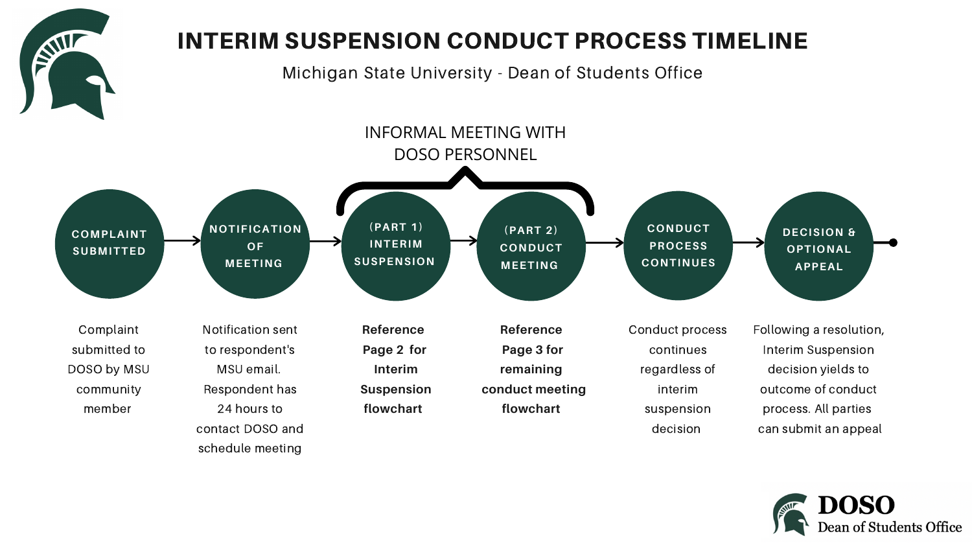

Conduct process continues regardless of interim suspension decision

Following a resolution, Interim Suspension decision yields to outcome of conduct process. All parties can submit an appeal



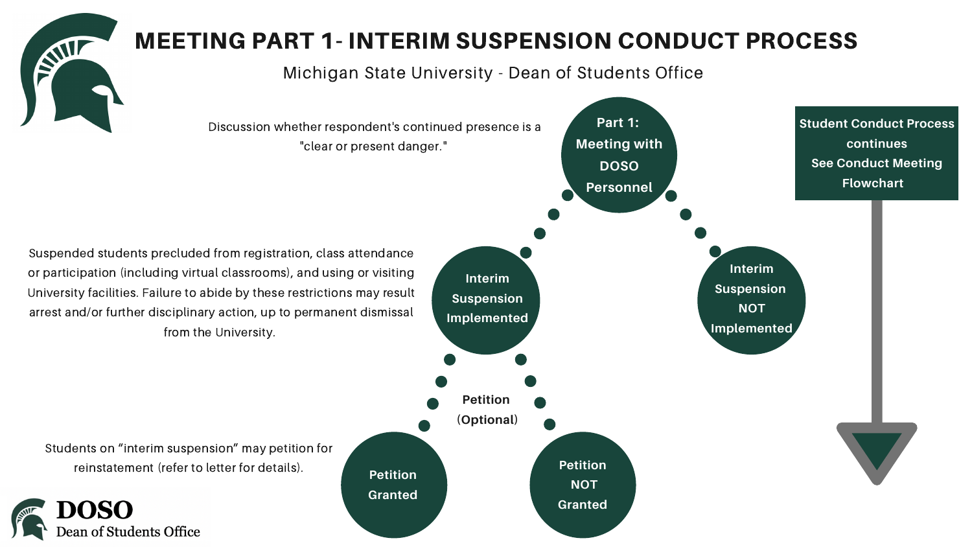

# MEETING PART 1- INTERIM SUSPENSION CONDUCT PROCESS

Michigan State University - Dean of Students Office





**Part 1: Meeting with DOSO Personnel**

> **Interim Suspension NOT Implemented**



**Granted**

**Student Conduct Process continues See Conduct Meeting Flowchart**